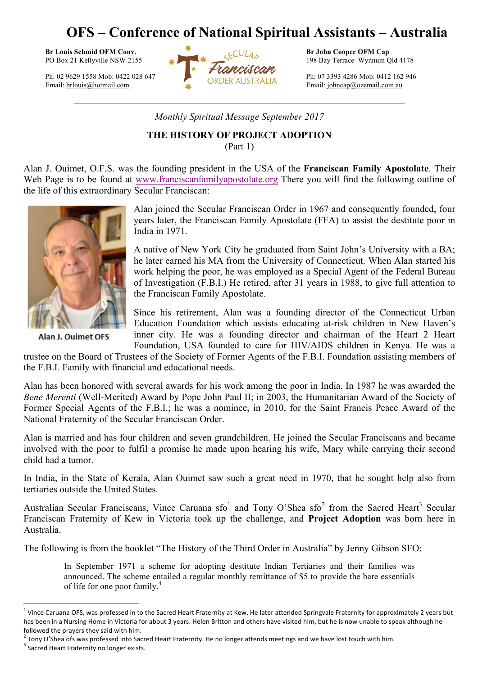## **OFS – Conference of National Spiritual Assistants – Australia**



Email: johncap@ozemail.com.au

*Monthly Spiritual Message September 2017*

 $\_$  , and the state of the state of the state of the state of the state of the state of the state of the state of the state of the state of the state of the state of the state of the state of the state of the state of the

**THE HISTORY OF PROJECT ADOPTION**

(Part 1)

Alan J. Ouimet, O.F.S. was the founding president in the USA of the **Franciscan Family Apostolate**. Their Web Page is to be found at www.franciscanfamilyapostolate.org There you will find the following outline of the life of this extraordinary Secular Franciscan:



Alan J. Ouimet OFS

Alan joined the Secular Franciscan Order in 1967 and consequently founded, four years later, the Franciscan Family Apostolate (FFA) to assist the destitute poor in India in 1971.

A native of New York City he graduated from Saint John's University with a BA; he later earned his MA from the University of Connecticut. When Alan started his work helping the poor, he was employed as a Special Agent of the Federal Bureau of Investigation (F.B.I.) He retired, after 31 years in 1988, to give full attention to the Franciscan Family Apostolate.

Since his retirement, Alan was a founding director of the Connecticut Urban Education Foundation which assists educating at-risk children in New Haven's inner city. He was a founding director and chairman of the Heart 2 Heart Foundation, USA founded to care for HIV/AIDS children in Kenya. He was a

trustee on the Board of Trustees of the Society of Former Agents of the F.B.I. Foundation assisting members of the F.B.I. Family with financial and educational needs.

Alan has been honored with several awards for his work among the poor in India. In 1987 he was awarded the *Bene Merenti* (Well-Merited) Award by Pope John Paul II; in 2003, the Humanitarian Award of the Society of Former Special Agents of the F.B.I.; he was a nominee, in 2010, for the Saint Francis Peace Award of the National Fraternity of the Secular Franciscan Order.

Alan is married and has four children and seven grandchildren. He joined the Secular Franciscans and became involved with the poor to fulfil a promise he made upon hearing his wife, Mary while carrying their second child had a tumor.

In India, in the State of Kerala, Alan Ouimet saw such a great need in 1970, that he sought help also from tertiaries outside the United States.

Australian Secular Franciscans, Vince Caruana  $sfo<sup>1</sup>$  and Tony O'Shea  $sfo<sup>2</sup>$  from the Sacred Heart<sup>3</sup> Secular Franciscan Fraternity of Kew in Victoria took up the challenge, and **Project Adoption** was born here in Australia.

The following is from the booklet "The History of the Third Order in Australia" by Jenny Gibson SFO:

In September 1971 a scheme for adopting destitute Indian Tertiaries and their families was announced. The scheme entailed a regular monthly remittance of \$5 to provide the bare essentials of life for one poor family. 4

 $^2$  Tony O'Shea ofs was professed into Sacred Heart Fraternity. He no longer attends meetings and we have lost touch with him.

 $\overline{a}$ 

<sup>&</sup>lt;sup>1</sup> Vince Caruana OFS, was professed in to the Sacred Heart Fraternity at Kew. He later attended Springvale Fraternity for approximately 2 years but has been in a Nursing Home in Victoria for about 3 years. Helen Britton and others have visited him, but he is now unable to speak although he followed the prayers they said with him.

 $3$  Sacred Heart Fraternity no longer exists.